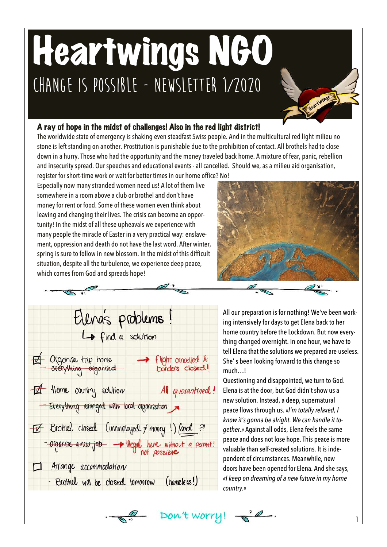## Heartwings NGO **Change is possible - Newsletter 1/2020**

## A ray of hope in the midst of challenges! Also in the red light district!

The worldwide state of emergency is shaking even steadfast Swiss people. And in the multicultural red light milieu no stone is left standing on another. Prostitution is punishable due to the prohibition of contact. All brothels had to close down in a hurry. Those who had the opportunity and the money traveled back home. A mixture of fear, panic, rebellion and insecurity spread. Our speeches and educational events - all cancelled. Should we, as a milieu aid organisation,

register for short-time work or wait for better times in our home office? No! Especially now many stranded women need us! A lot of them live somewhere in a room above a club or brothel and don't have money for rent or food. Some of these women even think about leaving and changing their lives. The crisis can become an opportunity! In the midst of all these upheavals we experience with many people the miracle of Easter in a very practical way: enslavement, oppression and death do not have the last word. After winter, spring is sure to follow in new blossom. In the midst of this difficult situation, despite all the turbulence, we experience deep peace, which comes from God and spreads hope!



Heartwings

Elena's problems! La find a solution Organize trip home - Flight cancelled &<br>- everything organized - borders closed! I Home country solution All quarantined! - Everything arranged with local organization Et Brotnel closed (unemplayed f money !) food ? -organize a new job - illegal here without a permit! Arrange accommodation - Brothel will be closed tomorrow (nomeless!)

All our preparation is for nothing! We've been working intensively for days to get Elena back to her home country before the Lockdown. But now everything changed overnight. In one hour, we have to tell Elena that the solutions we prepared are useless. She' s been looking forward to this change so much…!

Questioning and disappointed, we turn to God. Elena is at the door, but God didn't show us a new solution. Instead, a deep, supernatural peace flows through us. *«I'm totally relaxed, I know it's gonna be alright. We can handle it together.»* Against all odds, Elena feels the same peace and does not lose hope. This peace is more valuable than self-created solutions. It is independent of circumstances. Meanwhile, new doors have been opened for Elena. And she says, *«I keep on dreaming of a new future in my home country.»*

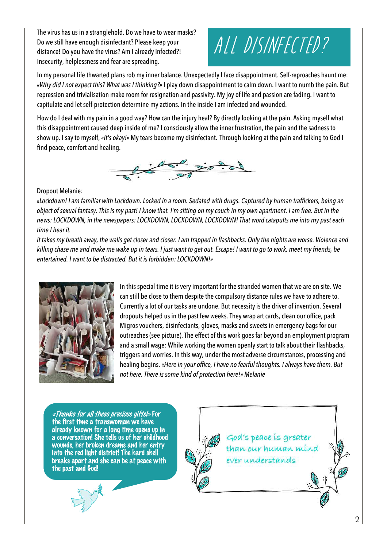The virus has us in a stranglehold. Do we have to wear masks? Do we still have enough disinfectant? Please keep your distance! Do you have the virus? Am I already infected?! Insecurity, helplessness and fear are spreading.



In my personal life thwarted plans rob my inner balance. Unexpectedly I face disappointment. Self-reproaches haunt me: *«Why did I not expect this? What was I thinking?»* I play down disappointment to calm down. I want to numb the pain. But repression and trivialisation make room for resignation and passivity. My joy of life and passion are fading. I want to capitulate and let self-protection determine my actions. In the inside I am infected and wounded.

How do I deal with my pain in a good way? How can the injury heal? By directly looking at the pain. Asking myself what this disappointment caused deep inside of me? I consciously allow the inner frustration, the pain and the sadness to show up. I say to myself, *«It's okay!»* My tears become my disinfectant. Through looking at the pain and talking to God I find peace, comfort and healing.



## Dropout Melanie*:*

*«Lockdown! I am familiar with Lockdown. Locked in a room. Sedated with drugs. Captured by human traffickers, being an object of sexual fantasy. This is my past! I know that. I'm sitting on my couch in my own apartment. I am free. But in the news: LOCKDOWN, in the newspapers: LOCKDOWN, LOCKDOWN, LOCKDOWN! That word catapults me into my past each time I hear it.* 

*It takes my breath away, the walls get closer and closer. I am trapped in flashbacks. Only the nights are worse. Violence and killing chase me and make me wake up in tears. I just want to get out. Escape! I want to go to work, meet my friends, be entertained. I want to be distracted. But it is forbidden: LOCKDOWN!»*



In this special time it is very important for the stranded women that we are on site. We can still be close to them despite the compulsory distance rules we have to adhere to. Currently a lot of our tasks are undone. But necessity is the driver of invention. Several dropouts helped us in the past few weeks. They wrap art cards, clean our office, pack Migros vouchers, disinfectants, gloves, masks and sweets in emergency bags for our outreaches (see picture). The effect of this work goes far beyond an employment program and a small wage: While working the women openly start to talk about their flashbacks, triggers and worries. In this way, under the most adverse circumstances, processing and healing begins. *«Here in your office, I have no fearful thoughts. I always have them. But not here. There is some kind of protection here!» Melanie*

«Thanks for all these precious gifts!» For the first time a transwoman we have already known for a long time opens up in a conversation! She tells us of her childhood wounds, her broken dreams and her entry into the red light district! The hard shell breaks apart and she can be at peace with the past and God!



God's peace is greater than our human mind ever understands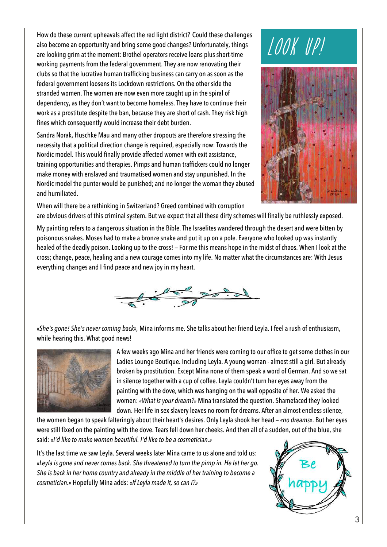How do these current upheavals affect the red light district? Could these challenges also become an opportunity and bring some good changes? Unfortunately, things are looking grim at the moment: Brothel operators receive loans plus short-time working payments from the federal government. They are now renovating their clubs so that the lucrative human trafficking business can carry on as soon as the federal government loosens its Lockdown restrictions. On the other side the stranded women. The women are now even more caught up in the spiral of dependency, as they don't want to become homeless. They have to continue their work as a prostitute despite the ban, because they are short of cash. They risk high fines which consequently would increase their debt burden.

Sandra Norak, Huschke Mau and many other dropouts are therefore stressing the necessity that a political direction change is required, especially now: Towards the Nordic model. This would finally provide affected women with exit assistance, training opportunities and therapies. Pimps and human traffickers could no longer make money with enslaved and traumatised women and stay unpunished. In the Nordic model the punter would be punished; and no longer the woman they abused and humiliated.





When will there be a rethinking in Switzerland? Greed combined with corruption are obvious drivers of this criminal system. But we expect that all these dirty schemes will finally be ruthlessly exposed.

My painting refers to a dangerous situation in the Bible. The Israelites wandered through the desert and were bitten by poisonous snakes. Moses had to make a bronze snake and put it up on a pole. Everyone who looked up was instantly healed of the deadly poison. Looking up to the cross! — For me this means hope in the midst of chaos. When I look at the cross; change, peace, healing and a new courage comes into my life. No matter what the circumstances are: With Jesus everything changes and I find peace and new joy in my heart.



*«She's gone! She's never coming back»,* Mina informs me. She talks about her friend Leyla. I feel a rush of enthusiasm, while hearing this. What good news!



A few weeks ago Mina and her friends were coming to our office to get some clothes in our Ladies Lounge Boutique. Including Leyla. A young woman - almost still a girl. But already broken by prostitution. Except Mina none of them speak a word of German. And so we sat in silence together with a cup of coffee. Leyla couldn't turn her eyes away from the painting with the dove, which was hanging on the wall opposite of her. We asked the women: *«What is your dream?»* Mina translated the question. Shamefaced they looked down. Her life in sex slavery leaves no room for dreams. After an almost endless silence,

the women began to speak falteringly about their heart's desires. Only Leyla shook her head — *«no dreams»*. But her eyes were still fixed on the painting with the dove. Tears fell down her cheeks. And then all of a sudden, out of the blue, she said: *«I'd like to make women beautiful. I'd like to be a cosmetician.»*

It's the last time we saw Leyla. Several weeks later Mina came to us alone and told us: *«Leyla is gone and never comes back. She threatened to turn the pimp in. He let her go. She is back in her home country and already in the middle of her training to become a cosmetician.»* Hopefully Mina adds: *«If Leyla made it, so can I?»*